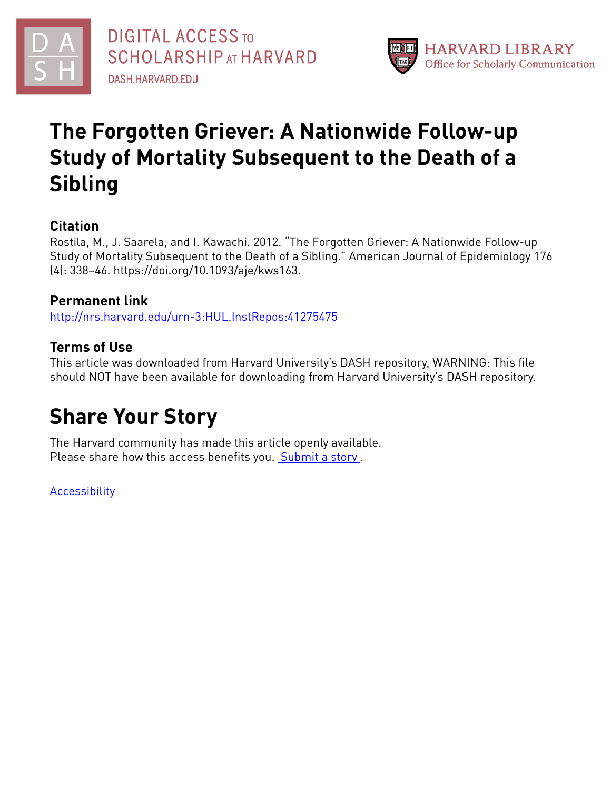



# **The Forgotten Griever: A Nationwide Follow-up Study of Mortality Subsequent to the Death of a Sibling**

# **Citation**

Rostila, M., J. Saarela, and I. Kawachi. 2012. "The Forgotten Griever: A Nationwide Follow-up Study of Mortality Subsequent to the Death of a Sibling." American Journal of Epidemiology 176 (4): 338–46. https://doi.org/10.1093/aje/kws163.

## **Permanent link**

<http://nrs.harvard.edu/urn-3:HUL.InstRepos:41275475>

## **Terms of Use**

This article was downloaded from Harvard University's DASH repository, WARNING: This file should NOT have been available for downloading from Harvard University's DASH repository.

# **Share Your Story**

The Harvard community has made this article openly available. Please share how this access benefits you. [Submit](http://osc.hul.harvard.edu/dash/open-access-feedback?handle=&title=The%20Forgotten%20Griever:%20A%20Nationwide%20Follow-up%20Study%20of%20Mortality%20Subsequent%20to%20the%20Death%20of%20a%20Sibling&community=1/4454687&collection=1/4454688&owningCollection1/4454688&harvardAuthors=3d41fe3af514d1971b8db3765adfbe3f&department) a story.

[Accessibility](https://dash.harvard.edu/pages/accessibility)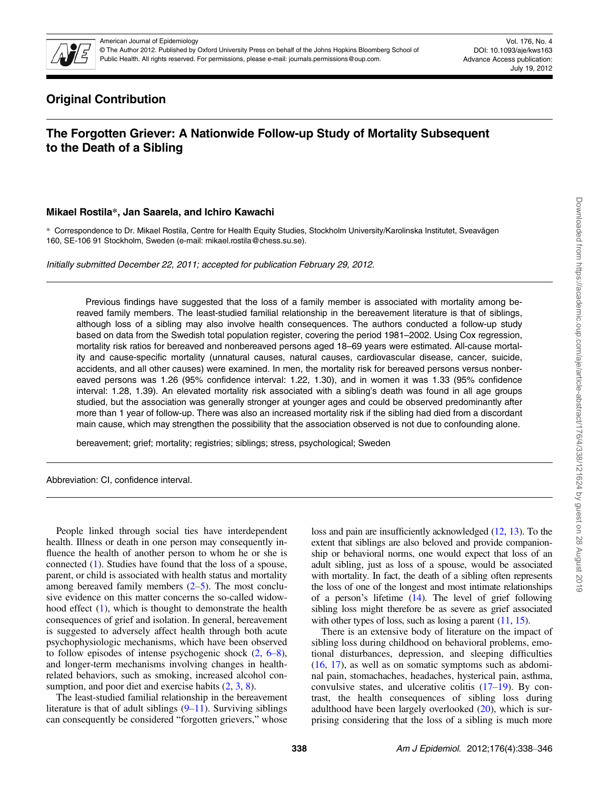

#### American Journal of Epidemiology

© The Author 2012. Published by Oxford University Press on behalf of the Johns Hopkins Bloomberg School of Public Health. All rights reserved. For permissions, please e-mail: journals.permissions@oup.com.

## Original Contribution

## The Forgotten Griever: A Nationwide Follow-up Study of Mortality Subsequent to the Death of a Sibling

## Mikael Rostila\*, Jan Saarela, and Ichiro Kawachi

\* Correspondence to Dr. Mikael Rostila, Centre for Health Equity Studies, Stockholm University/Karolinska Institutet, Sveavägen 160, SE-106 91 Stockholm, Sweden (e-mail: mikael.rostila@chess.su.se).

Initially submitted December 22, 2011; accepted for publication February 29, 2012.

Previous findings have suggested that the loss of a family member is associated with mortality among bereaved family members. The least-studied familial relationship in the bereavement literature is that of siblings, although loss of a sibling may also involve health consequences. The authors conducted a follow-up study based on data from the Swedish total population register, covering the period 1981–2002. Using Cox regression, mortality risk ratios for bereaved and nonbereaved persons aged 18–69 years were estimated. All-cause mortality and cause-specific mortality (unnatural causes, natural causes, cardiovascular disease, cancer, suicide, accidents, and all other causes) were examined. In men, the mortality risk for bereaved persons versus nonbereaved persons was 1.26 (95% confidence interval: 1.22, 1.30), and in women it was 1.33 (95% confidence interval: 1.28, 1.39). An elevated mortality risk associated with a sibling's death was found in all age groups studied, but the association was generally stronger at younger ages and could be observed predominantly after more than 1 year of follow-up. There was also an increased mortality risk if the sibling had died from a discordant main cause, which may strengthen the possibility that the association observed is not due to confounding alone.

bereavement; grief; mortality; registries; siblings; stress, psychological; Sweden

Abbreviation: CI, confidence interval.

People linked through social ties have interdependent health. Illness or death in one person may consequently influence the health of another person to whom he or she is connected [\(1](#page-8-0)). Studies have found that the loss of a spouse, parent, or child is associated with health status and mortality among bereaved family members  $(2-5)$  $(2-5)$  $(2-5)$  $(2-5)$ . The most conclusive evidence on this matter concerns the so-called widowhood effect [\(1](#page-8-0)), which is thought to demonstrate the health consequences of grief and isolation. In general, bereavement is suggested to adversely affect health through both acute psychophysiologic mechanisms, which have been observed to follow episodes of intense psychogenic shock  $(2, 6-8)$  $(2, 6-8)$  $(2, 6-8)$  $(2, 6-8)$  $(2, 6-8)$  $(2, 6-8)$  $(2, 6-8)$ , and longer-term mechanisms involving changes in healthrelated behaviors, such as smoking, increased alcohol consumption, and poor diet and exercise habits  $(2, 3, 8)$  $(2, 3, 8)$  $(2, 3, 8)$  $(2, 3, 8)$  $(2, 3, 8)$  $(2, 3, 8)$ .

The least-studied familial relationship in the bereavement literature is that of adult siblings  $(9-11)$  $(9-11)$  $(9-11)$  $(9-11)$ . Surviving siblings can consequently be considered "forgotten grievers," whose loss and pain are insufficiently acknowledged [\(12,](#page-9-0) [13\)](#page-9-0). To the extent that siblings are also beloved and provide companionship or behavioral norms, one would expect that loss of an adult sibling, just as loss of a spouse, would be associated with mortality. In fact, the death of a sibling often represents the loss of one of the longest and most intimate relationships of a person's lifetime [\(14](#page-9-0)). The level of grief following sibling loss might therefore be as severe as grief associated with other types of loss, such as losing a parent  $(11, 15)$  $(11, 15)$  $(11, 15)$  $(11, 15)$ .

There is an extensive body of literature on the impact of sibling loss during childhood on behavioral problems, emotional disturbances, depression, and sleeping difficulties [\(16](#page-9-0), [17\)](#page-9-0), as well as on somatic symptoms such as abdominal pain, stomachaches, headaches, hysterical pain, asthma, convulsive states, and ulcerative colitis  $(17-19)$  $(17-19)$  $(17-19)$  $(17-19)$ . By contrast, the health consequences of sibling loss during adulthood have been largely overlooked  $(20)$  $(20)$ , which is surprising considering that the loss of a sibling is much more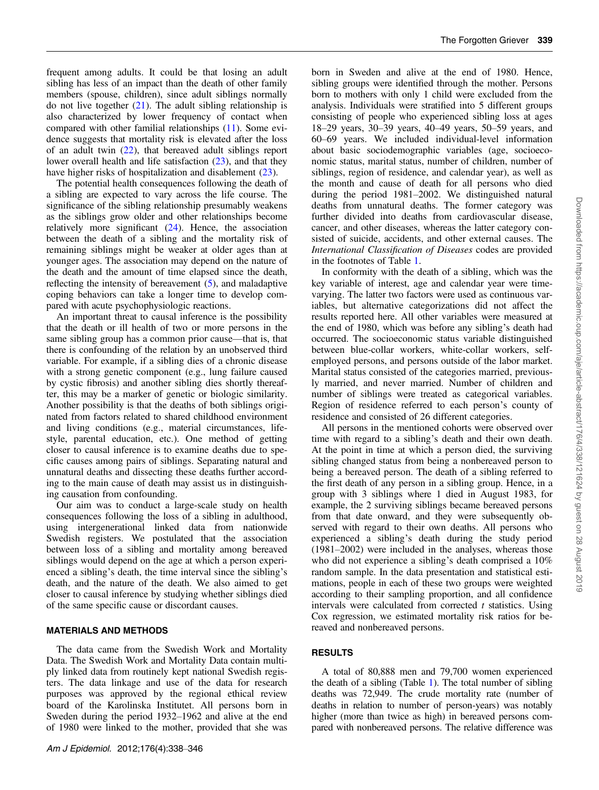frequent among adults. It could be that losing an adult sibling has less of an impact than the death of other family members (spouse, children), since adult siblings normally do not live together  $(21)$  $(21)$ . The adult sibling relationship is also characterized by lower frequency of contact when compared with other familial relationships [\(11](#page-9-0)). Some evidence suggests that mortality risk is elevated after the loss of an adult twin  $(22)$  $(22)$ , that bereaved adult siblings report lower overall health and life satisfaction  $(23)$  $(23)$ , and that they have higher risks of hospitalization and disablement [\(23](#page-9-0)).

The potential health consequences following the death of a sibling are expected to vary across the life course. The significance of the sibling relationship presumably weakens as the siblings grow older and other relationships become relatively more significant ([24\)](#page-9-0). Hence, the association between the death of a sibling and the mortality risk of remaining siblings might be weaker at older ages than at younger ages. The association may depend on the nature of the death and the amount of time elapsed since the death, reflecting the intensity of bereavement ([5\)](#page-8-0), and maladaptive coping behaviors can take a longer time to develop compared with acute psychophysiologic reactions.

An important threat to causal inference is the possibility that the death or ill health of two or more persons in the same sibling group has a common prior cause—that is, that there is confounding of the relation by an unobserved third variable. For example, if a sibling dies of a chronic disease with a strong genetic component (e.g., lung failure caused by cystic fibrosis) and another sibling dies shortly thereafter, this may be a marker of genetic or biologic similarity. Another possibility is that the deaths of both siblings originated from factors related to shared childhood environment and living conditions (e.g., material circumstances, lifestyle, parental education, etc.). One method of getting closer to causal inference is to examine deaths due to specific causes among pairs of siblings. Separating natural and unnatural deaths and dissecting these deaths further according to the main cause of death may assist us in distinguishing causation from confounding.

Our aim was to conduct a large-scale study on health consequences following the loss of a sibling in adulthood, using intergenerational linked data from nationwide Swedish registers. We postulated that the association between loss of a sibling and mortality among bereaved siblings would depend on the age at which a person experienced a sibling's death, the time interval since the sibling's death, and the nature of the death. We also aimed to get closer to causal inference by studying whether siblings died of the same specific cause or discordant causes.

### MATERIALS AND METHODS

The data came from the Swedish Work and Mortality Data. The Swedish Work and Mortality Data contain multiply linked data from routinely kept national Swedish registers. The data linkage and use of the data for research purposes was approved by the regional ethical review board of the Karolinska Institutet. All persons born in Sweden during the period 1932–1962 and alive at the end of 1980 were linked to the mother, provided that she was

born in Sweden and alive at the end of 1980. Hence, sibling groups were identified through the mother. Persons born to mothers with only 1 child were excluded from the analysis. Individuals were stratified into 5 different groups consisting of people who experienced sibling loss at ages 18–29 years, 30–39 years, 40–49 years, 50–59 years, and 60–69 years. We included individual-level information about basic sociodemographic variables (age, socioeconomic status, marital status, number of children, number of siblings, region of residence, and calendar year), as well as the month and cause of death for all persons who died during the period 1981–2002. We distinguished natural deaths from unnatural deaths. The former category was further divided into deaths from cardiovascular disease, cancer, and other diseases, whereas the latter category consisted of suicide, accidents, and other external causes. The International Classification of Diseases codes are provided in the footnotes of Table [1](#page-3-0).

In conformity with the death of a sibling, which was the key variable of interest, age and calendar year were timevarying. The latter two factors were used as continuous variables, but alternative categorizations did not affect the results reported here. All other variables were measured at the end of 1980, which was before any sibling's death had occurred. The socioeconomic status variable distinguished between blue-collar workers, white-collar workers, selfemployed persons, and persons outside of the labor market. Marital status consisted of the categories married, previously married, and never married. Number of children and number of siblings were treated as categorical variables. Region of residence referred to each person's county of residence and consisted of 26 different categories.

All persons in the mentioned cohorts were observed over time with regard to a sibling's death and their own death. At the point in time at which a person died, the surviving sibling changed status from being a nonbereaved person to being a bereaved person. The death of a sibling referred to the first death of any person in a sibling group. Hence, in a group with 3 siblings where 1 died in August 1983, for example, the 2 surviving siblings became bereaved persons from that date onward, and they were subsequently observed with regard to their own deaths. All persons who experienced a sibling's death during the study period (1981–2002) were included in the analyses, whereas those who did not experience a sibling's death comprised a 10% random sample. In the data presentation and statistical estimations, people in each of these two groups were weighted according to their sampling proportion, and all confidence intervals were calculated from corrected  $t$  statistics. Using Cox regression, we estimated mortality risk ratios for bereaved and nonbereaved persons.

## RESULTS

A total of 80,888 men and 79,700 women experienced the death of a sibling (Table [1\)](#page-3-0). The total number of sibling deaths was 72,949. The crude mortality rate (number of deaths in relation to number of person-years) was notably higher (more than twice as high) in bereaved persons compared with nonbereaved persons. The relative difference was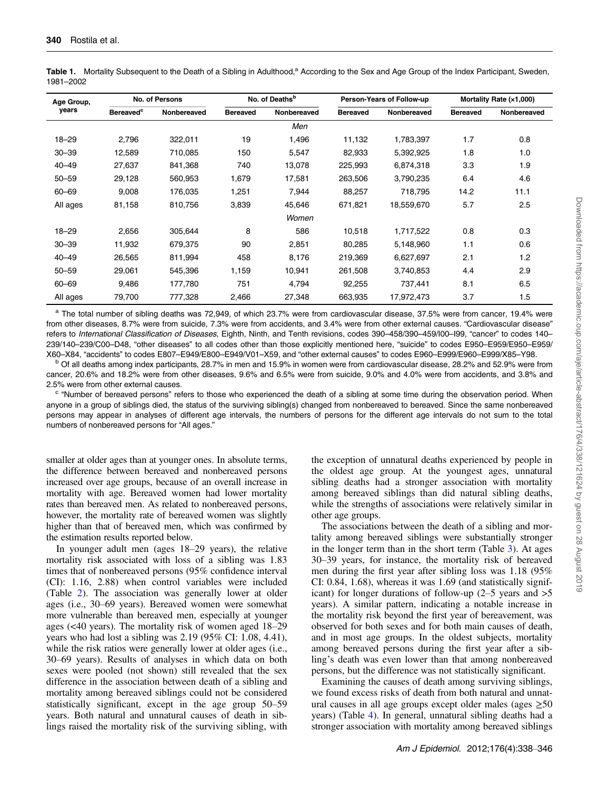| Age Group, |                              | <b>No. of Persons</b> |                 | No. of Deaths <sup>b</sup> |         | Person-Years of Follow-up | Mortality Rate (x1,000) |             |  |
|------------|------------------------------|-----------------------|-----------------|----------------------------|---------|---------------------------|-------------------------|-------------|--|
| years      | <b>Bereaved</b> <sup>c</sup> | Nonbereaved           | <b>Bereaved</b> | Nonbereaved                |         | Nonbereaved               | <b>Bereaved</b>         | Nonbereaved |  |
|            |                              |                       |                 | Men                        |         |                           |                         |             |  |
| $18 - 29$  | 2,796                        | 322,011               | 19              | 1,496                      | 11,132  | 1,783,397                 | 1.7                     | 0.8         |  |
| $30 - 39$  | 12,589                       | 710,085               | 150             | 5,547                      | 82,933  | 5,392,925                 | 1.8                     | 1.0         |  |
| $40 - 49$  | 27,637                       | 841,368               | 740             | 13,078                     | 225,993 | 6,874,318                 | 3.3                     | 1.9         |  |
| $50 - 59$  | 29,128                       | 560,953               | 1,679           | 17,581                     | 263,506 | 3,790,235                 | 6.4                     | 4.6         |  |
| 60-69      | 9,008                        | 176,035               | 1,251           | 7,944                      | 88,257  | 718.795                   | 14.2                    | 11.1        |  |
| All ages   | 81,158                       | 810,756               | 3,839           | 45,646                     | 671,821 | 18,559,670                | 5.7                     | 2.5         |  |
|            |                              |                       |                 | Women                      |         |                           |                         |             |  |
| $18 - 29$  | 2,656                        | 305,644               | 8               | 586                        | 10,518  | 1,717,522                 | 0.8                     | 0.3         |  |
| $30 - 39$  | 11,932                       | 679,375               | 90              | 2,851                      | 80,285  | 5,148,960                 | 1.1                     | 0.6         |  |
| $40 - 49$  | 26,565                       | 811,994               | 458             | 8,176                      | 219.369 | 6,627,697                 | 2.1                     | 1.2         |  |
| $50 - 59$  | 29,061                       | 545,396               | 1,159           | 10,941                     | 261,508 | 3,740,853                 | 4.4                     | 2.9         |  |
| $60 - 69$  | 9,486                        | 177,780               | 751             | 4,794                      | 92,255  | 737,441                   | 8.1                     | 6.5         |  |
| All ages   | 79,700                       | 777,328               | 2,466           | 27,348                     | 663,935 | 17,972,473                | 3.7                     | 1.5         |  |

<span id="page-3-0"></span>Table 1. Mortality Subsequent to the Death of a Sibling in Adulthood,<sup>a</sup> According to the Sex and Age Group of the Index Participant, Sweden, 1981–2002

a The total number of sibling deaths was 72,949, of which 23.7% were from cardiovascular disease, 37.5% were from cancer, 19.4% were from other diseases, 8.7% were from suicide, 7.3% were from accidents, and 3.4% were from other external causes. "Cardiovascular disease" refers to International Classification of Diseases, Eighth, Ninth, and Tenth revisions, codes 390-458/390-459/I00-I99, "cancer" to codes 140-239/140–239/C00–D48, "other diseases" to all codes other than those explicitly mentioned here, "suicide" to codes E950–E959/E950–E959/ X60–X84, "accidents" to codes E807–E949/E800–E949/V01–X59, and "other external causes" to codes E960–E999/E960–E999/X85–Y98.

<sup>b</sup> Of all deaths among index participants, 28.7% in men and 15.9% in women were from cardiovascular disease, 28.2% and 52.9% were from cancer, 20.6% and 18.2% were from other diseases, 9.6% and 6.5% were from suicide, 9.0% and 4.0% were from accidents, and 3.8% and 2.5% were from other external causes.

<sup>c</sup> "Number of bereaved persons" refers to those who experienced the death of a sibling at some time during the observation period. When anyone in a group of siblings died, the status of the surviving sibling(s) changed from nonbereaved to bereaved. Since the same nonbereaved persons may appear in analyses of different age intervals, the numbers of persons for the different age intervals do not sum to the total numbers of nonbereaved persons for "All ages."

smaller at older ages than at younger ones. In absolute terms, the difference between bereaved and nonbereaved persons increased over age groups, because of an overall increase in mortality with age. Bereaved women had lower mortality rates than bereaved men. As related to nonbereaved persons, however, the mortality rate of bereaved women was slightly higher than that of bereaved men, which was confirmed by the estimation results reported below.

In younger adult men (ages 18–29 years), the relative mortality risk associated with loss of a sibling was 1.83 times that of nonbereaved persons (95% confidence interval (CI): 1.16, 2.88) when control variables were included (Table [2\)](#page-4-0). The association was generally lower at older ages (i.e., 30–69 years). Bereaved women were somewhat more vulnerable than bereaved men, especially at younger ages (<40 years). The mortality risk of women aged 18–29 years who had lost a sibling was 2.19 (95% CI: 1.08, 4.41), while the risk ratios were generally lower at older ages (i.e., 30–69 years). Results of analyses in which data on both sexes were pooled (not shown) still revealed that the sex difference in the association between death of a sibling and mortality among bereaved siblings could not be considered statistically significant, except in the age group 50–59 years. Both natural and unnatural causes of death in siblings raised the mortality risk of the surviving sibling, with the exception of unnatural deaths experienced by people in the oldest age group. At the youngest ages, unnatural sibling deaths had a stronger association with mortality among bereaved siblings than did natural sibling deaths, while the strengths of associations were relatively similar in other age groups.

The associations between the death of a sibling and mortality among bereaved siblings were substantially stronger in the longer term than in the short term (Table [3](#page-5-0)). At ages 30–39 years, for instance, the mortality risk of bereaved men during the first year after sibling loss was 1.18 (95% CI: 0.84, 1.68), whereas it was 1.69 (and statistically significant) for longer durations of follow-up (2–5 years and >5 years). A similar pattern, indicating a notable increase in the mortality risk beyond the first year of bereavement, was observed for both sexes and for both main causes of death, and in most age groups. In the oldest subjects, mortality among bereaved persons during the first year after a sibling's death was even lower than that among nonbereaved persons, but the difference was not statistically significant.

Examining the causes of death among surviving siblings, we found excess risks of death from both natural and unnatural causes in all age groups except older males (ages  $\geq 50$ years) (Table [4](#page-6-0)). In general, unnatural sibling deaths had a stronger association with mortality among bereaved siblings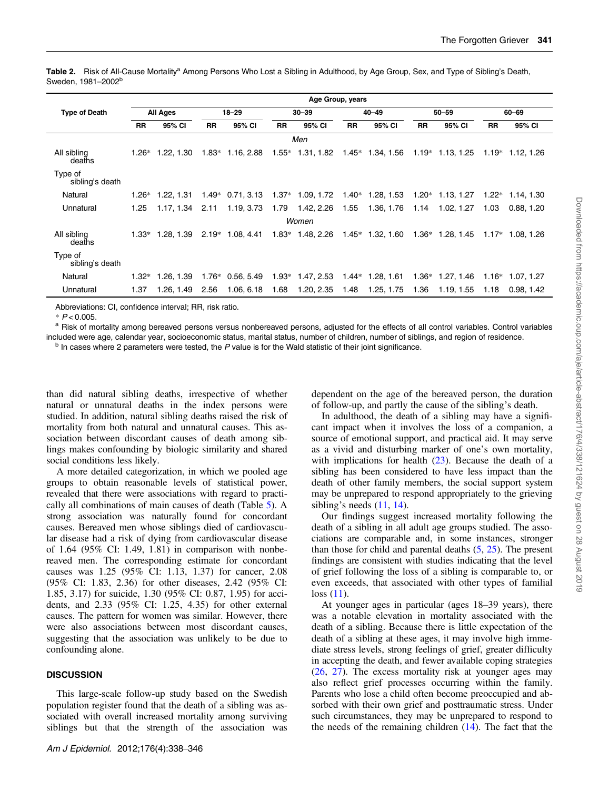<span id="page-4-0"></span>Table 2. Risk of All-Cause Mortality<sup>a</sup> Among Persons Who Lost a Sibling in Adulthood, by Age Group, Sex, and Type of Sibling's Death, Sweden, 1981-2002<sup>b</sup>

|                            | Age Group, years |                    |           |                    |           |                    |           |                    |           |                    |           |                    |  |
|----------------------------|------------------|--------------------|-----------|--------------------|-----------|--------------------|-----------|--------------------|-----------|--------------------|-----------|--------------------|--|
| <b>Type of Death</b>       |                  | <b>All Ages</b>    |           | $18 - 29$          |           | $30 - 39$          |           | $40 - 49$          |           | $50 - 59$          |           | 60-69              |  |
|                            | <b>RR</b>        | 95% CI             | <b>RR</b> | 95% CI             | <b>RR</b> | 95% CI             | <b>RR</b> | 95% CI             | <b>RR</b> | 95% CI             | <b>RR</b> | 95% CI             |  |
|                            |                  |                    |           |                    |           | Men                |           |                    |           |                    |           |                    |  |
| All sibling<br>deaths      |                  | $1.26*$ 1.22, 1.30 |           | $1.83*$ 1.16, 2.88 |           | $1.55*$ 1.31, 1.82 |           | $1.45*$ 1.34, 1.56 |           | $1.19*$ 1.13, 1.25 |           | $1.19*$ 1.12, 1.26 |  |
| Type of<br>sibling's death |                  |                    |           |                    |           |                    |           |                    |           |                    |           |                    |  |
| Natural                    | $1.26*$          | 1.22.1.31          | 1.49*     | 0.71, 3.13         |           | $1.37*$ 1.09, 1.72 | 1.40*     | 1.28, 1.53         |           | $1.20*$ 1.13, 1.27 |           | $1.22*$ 1.14, 1.30 |  |
| Unnatural                  | 1.25             | 1.17, 1.34         | 2.11      | 1.19, 3.73         |           | 1.79 1.42, 2.26    | 1.55      | 1.36, 1.76         | 1.14      | 1.02, 1.27         | 1.03      | 0.88, 1.20         |  |
|                            |                  |                    |           |                    |           | Women              |           |                    |           |                    |           |                    |  |
| All sibling<br>deaths      |                  | $1.33*$ 1.28, 1.39 |           | $2.19*$ 1.08, 4.41 |           | $1.83*$ 1.48, 2.26 | $1.45*$   | 1.32, 1.60         |           | $1.36*$ 1.28, 1.45 |           | $1.17*$ 1.08, 1.26 |  |
| Type of<br>sibling's death |                  |                    |           |                    |           |                    |           |                    |           |                    |           |                    |  |
| Natural                    | $1.32*$          | 1.26, 1.39         | $1.76*$   | 0.56, 5.49         | 1.93*     | 1.47, 2.53         | $1.44*$   | 1.28, 1.61         |           | $1.36*$ 1.27, 1.46 |           | $1.16*$ 1.07, 1.27 |  |
| Unnatural                  | 1.37             | 1.26, 1.49         | 2.56      | 1.06, 6.18         | 1.68      | 1.20, 2.35         | 1.48      | 1.25, 1.75         | 1.36      | 1.19, 1.55         | 1.18      | 0.98, 1.42         |  |

Abbreviations: CI, confidence interval; RR, risk ratio.

 $* P < 0.005$ .<br><sup>a</sup> Risk of mortality among bereaved persons versus nonbereaved persons, adjusted for the effects of all control variables. Control variables included were age, calendar year, socioeconomic status, marital status, number of children, number of siblings, and region of residence.

 $<sup>b</sup>$  In cases where 2 parameters were tested, the P value is for the Wald statistic of their joint significance.</sup>

than did natural sibling deaths, irrespective of whether natural or unnatural deaths in the index persons were studied. In addition, natural sibling deaths raised the risk of mortality from both natural and unnatural causes. This association between discordant causes of death among siblings makes confounding by biologic similarity and shared social conditions less likely.

A more detailed categorization, in which we pooled age groups to obtain reasonable levels of statistical power, revealed that there were associations with regard to practically all combinations of main causes of death (Table [5](#page-7-0)). A strong association was naturally found for concordant causes. Bereaved men whose siblings died of cardiovascular disease had a risk of dying from cardiovascular disease of 1.64 (95% CI: 1.49, 1.81) in comparison with nonbereaved men. The corresponding estimate for concordant causes was 1.25 (95% CI: 1.13, 1.37) for cancer, 2.08 (95% CI: 1.83, 2.36) for other diseases, 2.42 (95% CI: 1.85, 3.17) for suicide, 1.30 (95% CI: 0.87, 1.95) for accidents, and 2.33 (95% CI: 1.25, 4.35) for other external causes. The pattern for women was similar. However, there were also associations between most discordant causes, suggesting that the association was unlikely to be due to confounding alone.

## **DISCUSSION**

This large-scale follow-up study based on the Swedish population register found that the death of a sibling was associated with overall increased mortality among surviving siblings but that the strength of the association was

dependent on the age of the bereaved person, the duration of follow-up, and partly the cause of the sibling's death.

In adulthood, the death of a sibling may have a significant impact when it involves the loss of a companion, a source of emotional support, and practical aid. It may serve as a vivid and disturbing marker of one's own mortality, with implications for health  $(23)$  $(23)$ . Because the death of a sibling has been considered to have less impact than the death of other family members, the social support system may be unprepared to respond appropriately to the grieving sibling's needs  $(11, 14)$  $(11, 14)$  $(11, 14)$  $(11, 14)$ .

Our findings suggest increased mortality following the death of a sibling in all adult age groups studied. The associations are comparable and, in some instances, stronger than those for child and parental deaths  $(5, 25)$  $(5, 25)$  $(5, 25)$ . The present findings are consistent with studies indicating that the level of grief following the loss of a sibling is comparable to, or even exceeds, that associated with other types of familial loss [\(11](#page-9-0)).

At younger ages in particular (ages 18–39 years), there was a notable elevation in mortality associated with the death of a sibling. Because there is little expectation of the death of a sibling at these ages, it may involve high immediate stress levels, strong feelings of grief, greater difficulty in accepting the death, and fewer available coping strategies [\(26](#page-9-0), [27](#page-9-0)). The excess mortality risk at younger ages may also reflect grief processes occurring within the family. Parents who lose a child often become preoccupied and absorbed with their own grief and posttraumatic stress. Under such circumstances, they may be unprepared to respond to the needs of the remaining children  $(14)$  $(14)$ . The fact that the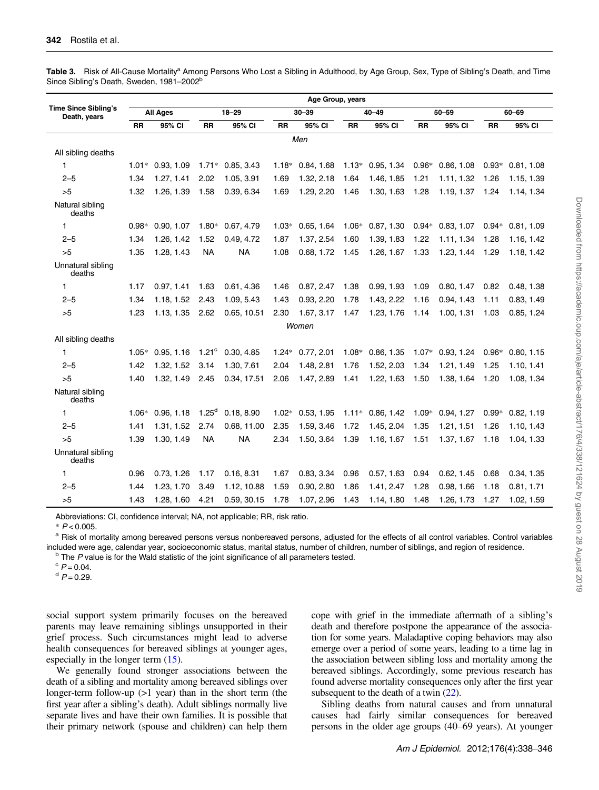<span id="page-5-0"></span>Table 3. Risk of All-Cause Mortality<sup>a</sup> Among Persons Who Lost a Sibling in Adulthood, by Age Group, Sex, Type of Sibling's Death, and Time Since Sibling's Death, Sweden, 1981–2002<sup>b</sup>

|                                             | Age Group, years |                    |                   |                    |           |                    |           |                    |           |                    |           |            |  |
|---------------------------------------------|------------------|--------------------|-------------------|--------------------|-----------|--------------------|-----------|--------------------|-----------|--------------------|-----------|------------|--|
| <b>Time Since Sibling's</b><br>Death, years | All Ages         |                    | $18 - 29$         |                    |           | $30 - 39$          |           | 40-49              | $50 - 59$ |                    | 60-69     |            |  |
|                                             | RR               | 95% CI             | <b>RR</b>         | 95% CI             | <b>RR</b> | 95% CI             | <b>RR</b> | 95% CI             | <b>RR</b> | 95% CI             | <b>RR</b> | 95% CI     |  |
|                                             |                  |                    |                   |                    |           | Men                |           |                    |           |                    |           |            |  |
| All sibling deaths                          |                  |                    |                   |                    |           |                    |           |                    |           |                    |           |            |  |
| 1                                           |                  | 1.01* 0.93, 1.09   | $1.71*$           | 0.85, 3.43         |           | $1.18*$ 0.84, 1.68 | $1.13*$   | 0.95, 1.34         | $0.96*$   | 0.86, 1.08         | $0.93*$   | 0.81, 1.08 |  |
| $2 - 5$                                     | 1.34             | 1.27, 1.41         | 2.02              | 1.05, 3.91         | 1.69      | 1.32, 2.18         | 1.64      | 1.46, 1.85         | 1.21      | 1.11, 1.32         | 1.26      | 1.15, 1.39 |  |
| >5                                          | 1.32             | 1.26, 1.39         | 1.58              | 0.39, 6.34         | 1.69      | 1.29, 2.20         | 1.46      | 1.30, 1.63         | 1.28      | 1.19, 1.37         | 1.24      | 1.14, 1.34 |  |
| Natural sibling<br>deaths                   |                  |                    |                   |                    |           |                    |           |                    |           |                    |           |            |  |
| 1                                           |                  | $0.98*$ 0.90, 1.07 |                   | $1.80*$ 0.67, 4.79 | $1.03*$   | 0.65, 1.64         |           | $1.06*$ 0.87, 1.30 |           | $0.94*$ 0.83, 1.07 | $0.94*$   | 0.81, 1.09 |  |
| $2 - 5$                                     | 1.34             | 1.26, 1.42         | 1.52              | 0.49, 4.72         | 1.87      | 1.37, 2.54         | 1.60      | 1.39, 1.83         | 1.22      | 1.11, 1.34         | 1.28      | 1.16, 1.42 |  |
| >5                                          | 1.35             | 1.28, 1.43         | NА                | <b>NA</b>          | 1.08      | 0.68, 1.72         | 1.45      | 1.26, 1.67         | 1.33      | 1.23, 1.44         | 1.29      | 1.18, 1.42 |  |
| Unnatural sibling<br>deaths                 |                  |                    |                   |                    |           |                    |           |                    |           |                    |           |            |  |
| 1                                           | 1.17             | 0.97, 1.41         | 1.63              | 0.61, 4.36         | 1.46      | 0.87, 2.47         | 1.38      | 0.99, 1.93         | 1.09      | 0.80, 1.47         | 0.82      | 0.48, 1.38 |  |
| $2 - 5$                                     | 1.34             | 1.18, 1.52         | 2.43              | 1.09, 5.43         | 1.43      | 0.93, 2.20         | 1.78      | 1.43, 2.22         | 1.16      | 0.94, 1.43         | 1.11      | 0.83, 1.49 |  |
| >5                                          | 1.23             | 1.13, 1.35         | 2.62              | 0.65, 10.51        | 2.30      | 1.67, 3.17         | 1.47      | 1.23, 1.76         | 1.14      | 1.00, 1.31         | 1.03      | 0.85, 1.24 |  |
|                                             |                  |                    |                   |                    |           | Women              |           |                    |           |                    |           |            |  |
| All sibling deaths                          |                  |                    |                   |                    |           |                    |           |                    |           |                    |           |            |  |
| 1                                           |                  | $1.05*$ 0.95, 1.16 | 1.21 <sup>c</sup> | 0.30, 4.85         |           | $1.24*$ 0.77, 2.01 |           | $1.08*$ 0.86, 1.35 |           | $1.07*$ 0.93, 1.24 | $0.96*$   | 0.80, 1.15 |  |
| $2 - 5$                                     | 1.42             | 1.32, 1.52         | 3.14              | 1.30, 7.61         | 2.04      | 1.48, 2.81         | 1.76      | 1.52, 2.03         | 1.34      | 1.21, 1.49         | 1.25      | 1.10, 1.41 |  |
| >5                                          | 1.40             | 1.32, 1.49         | 2.45              | 0.34, 17.51        | 2.06      | 1.47, 2.89         | 1.41      | 1.22, 1.63         | 1.50      | 1.38, 1.64         | 1.20      | 1.08, 1.34 |  |
| Natural sibling<br>deaths                   |                  |                    |                   |                    |           |                    |           |                    |           |                    |           |            |  |
| 1                                           |                  | $1.06*$ 0.96, 1.18 | 1.25 <sup>d</sup> | 0.18, 8.90         |           | $1.02*$ 0.53, 1.95 |           | $1.11*$ 0.86, 1.42 |           | $1.09*$ 0.94, 1.27 | $0.99*$   | 0.82, 1.19 |  |
| $2 - 5$                                     | 1.41             | 1.31, 1.52         | 2.74              | 0.68, 11.00        | 2.35      | 1.59, 3.46         | 1.72      | 1.45, 2.04         | 1.35      | 1.21, 1.51         | 1.26      | 1.10, 1.43 |  |
| >5                                          | 1.39             | 1.30, 1.49         | <b>NA</b>         | <b>NA</b>          | 2.34      | 1.50, 3.64         | 1.39      | 1.16, 1.67         | 1.51      | 1.37, 1.67         | 1.18      | 1.04, 1.33 |  |
| Unnatural sibling<br>deaths                 |                  |                    |                   |                    |           |                    |           |                    |           |                    |           |            |  |
| 1                                           | 0.96             | 0.73, 1.26         | 1.17              | 0.16, 8.31         | 1.67      | 0.83, 3.34         | 0.96      | 0.57, 1.63         | 0.94      | 0.62, 1.45         | 0.68      | 0.34, 1.35 |  |
| $2 - 5$                                     | 1.44             | 1.23, 1.70         | 3.49              | 1.12, 10.88        | 1.59      | 0.90, 2.80         | 1.86      | 1.41, 2.47         | 1.28      | 0.98, 1.66         | 1.18      | 0.81, 1.71 |  |
| >5                                          | 1.43             | 1.28, 1.60         | 4.21              | 0.59, 30.15        | 1.78      | 1.07, 2.96         | 1.43      | 1.14, 1.80         | 1.48      | 1.26, 1.73         | 1.27      | 1.02, 1.59 |  |

Abbreviations: CI, confidence interval; NA, not applicable; RR, risk ratio.<br>\*  $P < 0.005$ .

<sup>a</sup> Risk of mortality among bereaved persons versus nonbereaved persons, adjusted for the effects of all control variables. Control variables included were age, calendar year, socioeconomic status, marital status, number of children, number of siblings, and region of residence.

<sup>b</sup> The *P* value is for the Wald statistic of the joint significance of all parameters tested.  $\epsilon$  *P* = 0.04.

 $d$   $P = 0.29$ .

social support system primarily focuses on the bereaved parents may leave remaining siblings unsupported in their grief process. Such circumstances might lead to adverse health consequences for bereaved siblings at younger ages, especially in the longer term ([15\)](#page-9-0).

We generally found stronger associations between the death of a sibling and mortality among bereaved siblings over longer-term follow-up (>1 year) than in the short term (the first year after a sibling's death). Adult siblings normally live separate lives and have their own families. It is possible that their primary network (spouse and children) can help them

cope with grief in the immediate aftermath of a sibling's death and therefore postpone the appearance of the association for some years. Maladaptive coping behaviors may also emerge over a period of some years, leading to a time lag in the association between sibling loss and mortality among the bereaved siblings. Accordingly, some previous research has found adverse mortality consequences only after the first year subsequent to the death of a twin  $(22)$ .

Sibling deaths from natural causes and from unnatural causes had fairly similar consequences for bereaved persons in the older age groups (40–69 years). At younger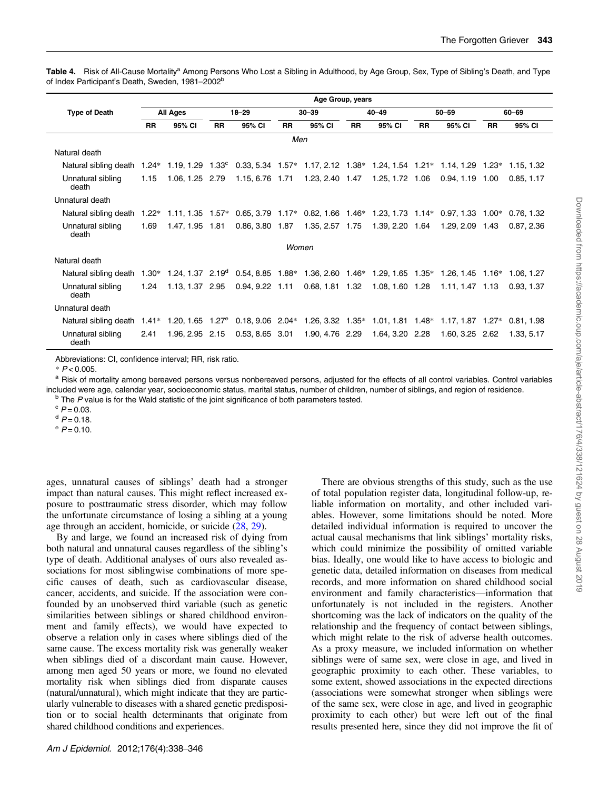<span id="page-6-0"></span>Table 4. Risk of All-Cause Mortality<sup>a</sup> Among Persons Who Lost a Sibling in Adulthood, by Age Group, Sex, Type of Sibling's Death, and Type of Index Participant's Death, Sweden, 1981-2002<sup>b</sup>

|                                                                                                                                         | Age Group, years |                 |     |                                                                                                                                                                      |       |                   |           |                 |           |                                                                                  |           |            |  |
|-----------------------------------------------------------------------------------------------------------------------------------------|------------------|-----------------|-----|----------------------------------------------------------------------------------------------------------------------------------------------------------------------|-------|-------------------|-----------|-----------------|-----------|----------------------------------------------------------------------------------|-----------|------------|--|
| <b>Type of Death</b>                                                                                                                    |                  | All Ages        |     | $18 - 29$                                                                                                                                                            |       | $30 - 39$         |           | $40 - 49$       |           | $50 - 59$                                                                        |           | 60-69      |  |
|                                                                                                                                         | <b>RR</b>        | 95% CI          | RR. | 95% CI                                                                                                                                                               | RR.   | 95% CI            | <b>RR</b> | 95% CI          | <b>RR</b> | 95% CI                                                                           | <b>RR</b> | 95% CI     |  |
| Men                                                                                                                                     |                  |                 |     |                                                                                                                                                                      |       |                   |           |                 |           |                                                                                  |           |            |  |
| Natural death                                                                                                                           |                  |                 |     |                                                                                                                                                                      |       |                   |           |                 |           |                                                                                  |           |            |  |
| Natural sibling death $1.24*$ 1.19, 1.29 1.33°                                                                                          |                  |                 |     |                                                                                                                                                                      |       |                   |           |                 |           | $0.33, 5.34$ 1.57* 1.17, 2.12 1.38* 1.24, 1.54 1.21* 1.14, 1.29 1.23* 1.15, 1.32 |           |            |  |
| Unnatural sibling<br>death                                                                                                              | 1.15             | 1.06, 1.25 2.79 |     | 1.15, 6.76 1.71                                                                                                                                                      |       | 1.23, 2.40 1.47   |           | 1.25, 1.72 1.06 |           | 0.94, 1.19                                                                       | 1.00      | 0.85.1.17  |  |
| Unnatural death                                                                                                                         |                  |                 |     |                                                                                                                                                                      |       |                   |           |                 |           |                                                                                  |           |            |  |
| Natural sibling death                                                                                                                   |                  |                 |     | $1.22^*$ 1.11, 1.35 1.57* 0.65, 3.79 1.17* 0.82, 1.66 1.46* 1.23, 1.73 1.14* 0.97, 1.33 1.00*                                                                        |       |                   |           |                 |           |                                                                                  |           | 0.76.1.32  |  |
| Unnatural sibling<br>death                                                                                                              | 1.69             | 1.47, 1.95 1.81 |     | $0.86, 3.80$ 1.87                                                                                                                                                    |       | 1.35, 2.57 1.75   |           | 1.39, 2.20 1.64 |           | 1.29, 2.09 1.43                                                                  |           | 0.87, 2.36 |  |
|                                                                                                                                         |                  |                 |     |                                                                                                                                                                      | Women |                   |           |                 |           |                                                                                  |           |            |  |
| Natural death                                                                                                                           |                  |                 |     |                                                                                                                                                                      |       |                   |           |                 |           |                                                                                  |           |            |  |
| Natural sibling death 1.30* 1.24, 1.37 2.19 <sup>d</sup> 0.54, 8.85 1.88* 1.36, 2.60 1.46* 1.29, 1.65 1.35* 1.26, 1.45 1.16* 1.06, 1.27 |                  |                 |     |                                                                                                                                                                      |       |                   |           |                 |           |                                                                                  |           |            |  |
| Unnatural sibling<br>death                                                                                                              | 1.24             | 1.13, 1.37 2.95 |     | $0.94, 9.22$ 1.11                                                                                                                                                    |       | $0.68, 1.81$ 1.32 |           | 1.08, 1.60 1.28 |           | 1.11, 1.47 1.13                                                                  |           | 0.93.1.37  |  |
| Unnatural death                                                                                                                         |                  |                 |     |                                                                                                                                                                      |       |                   |           |                 |           |                                                                                  |           |            |  |
| Natural sibling death                                                                                                                   |                  |                 |     | $1.41^*$ 1.20, 1.65 1.27 <sup>e</sup> 0.18, 9.06 2.04 <sup>*</sup> 1.26, 3.32 1.35 <sup>*</sup> 1.01, 1.81 1.48 <sup>*</sup> 1.17, 1.87 1.27 <sup>*</sup> 0.81, 1.98 |       |                   |           |                 |           |                                                                                  |           |            |  |
| Unnatural sibling<br>death                                                                                                              | 2.41             | 1.96, 2.95 2.15 |     | $0.53, 8.65$ 3.01                                                                                                                                                    |       | 1.90, 4.76 2.29   |           | 1.64, 3.20 2.28 |           | 1.60, 3.25 2.62                                                                  |           | 1.33, 5.17 |  |

Abbreviations: CI, confidence interval; RR, risk ratio.<br>\*  $P < 0.005$ .

<sup>a</sup> Risk of mortality among bereaved persons versus nonbereaved persons, adjusted for the effects of all control variables. Control variables included were age, calendar year, socioeconomic status, marital status, number of children, number of siblings, and region of residence.<br><sup>b</sup> The P value is for the Wald statistic of the joint significance of both parameter

 $^{\circ}$  P = 0.03.

 $^{\text{d}}$  P = 0.18.<br>e P = 0.10.

ages, unnatural causes of siblings' death had a stronger impact than natural causes. This might reflect increased exposure to posttraumatic stress disorder, which may follow the unfortunate circumstance of losing a sibling at a young age through an accident, homicide, or suicide ([28,](#page-9-0) [29\)](#page-9-0).

By and large, we found an increased risk of dying from both natural and unnatural causes regardless of the sibling's type of death. Additional analyses of ours also revealed associations for most siblingwise combinations of more specific causes of death, such as cardiovascular disease, cancer, accidents, and suicide. If the association were confounded by an unobserved third variable (such as genetic similarities between siblings or shared childhood environment and family effects), we would have expected to observe a relation only in cases where siblings died of the same cause. The excess mortality risk was generally weaker when siblings died of a discordant main cause. However, among men aged 50 years or more, we found no elevated mortality risk when siblings died from disparate causes (natural/unnatural), which might indicate that they are particularly vulnerable to diseases with a shared genetic predisposition or to social health determinants that originate from shared childhood conditions and experiences.

There are obvious strengths of this study, such as the use of total population register data, longitudinal follow-up, reliable information on mortality, and other included variables. However, some limitations should be noted. More detailed individual information is required to uncover the actual causal mechanisms that link siblings' mortality risks, which could minimize the possibility of omitted variable bias. Ideally, one would like to have access to biologic and genetic data, detailed information on diseases from medical records, and more information on shared childhood social environment and family characteristics—information that unfortunately is not included in the registers. Another shortcoming was the lack of indicators on the quality of the relationship and the frequency of contact between siblings, which might relate to the risk of adverse health outcomes. As a proxy measure, we included information on whether siblings were of same sex, were close in age, and lived in geographic proximity to each other. These variables, to some extent, showed associations in the expected directions (associations were somewhat stronger when siblings were of the same sex, were close in age, and lived in geographic proximity to each other) but were left out of the final results presented here, since they did not improve the fit of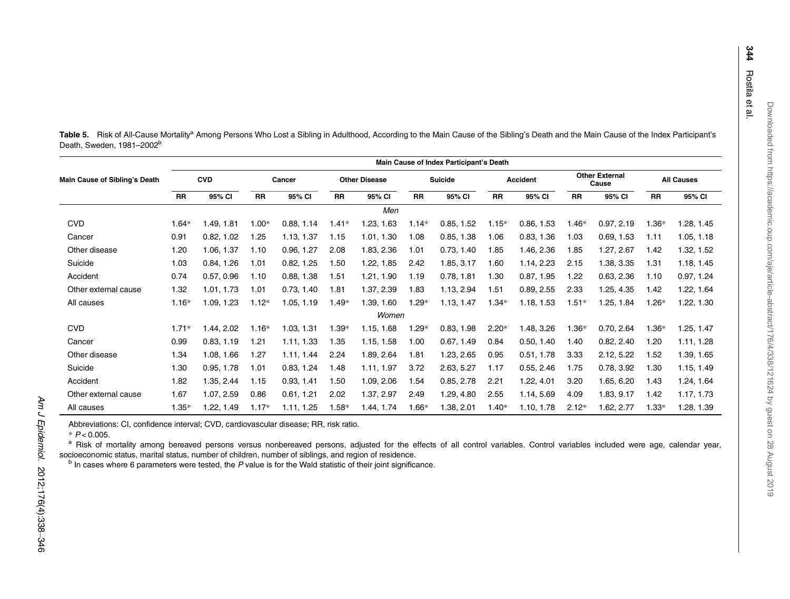<span id="page-7-0"></span>

|                                       | Table 5. Risk of All-Cause Mortality <sup>a</sup> Among Persons Who Lost a Sibling in Adulthood, According to the Main Cause of the Sibling's Death and the Main Cause of the Index Participant's |  |  |
|---------------------------------------|---------------------------------------------------------------------------------------------------------------------------------------------------------------------------------------------------|--|--|
| Death, Sweden, 1981-2002 <sup>b</sup> |                                                                                                                                                                                                   |  |  |

|                               | Main Cause of Index Participant's Death |            |           |            |                      |            |                |            |                 |            |                                |            |                   |            |
|-------------------------------|-----------------------------------------|------------|-----------|------------|----------------------|------------|----------------|------------|-----------------|------------|--------------------------------|------------|-------------------|------------|
| Main Cause of Sibling's Death | <b>CVD</b>                              |            | Cancer    |            | <b>Other Disease</b> |            | <b>Suicide</b> |            | <b>Accident</b> |            | <b>Other External</b><br>Cause |            | <b>All Causes</b> |            |
|                               | <b>RR</b>                               | 95% CI     | <b>RR</b> | 95% CI     | <b>RR</b>            | 95% CI     | <b>RR</b>      | 95% CI     | <b>RR</b>       | 95% CI     | <b>RR</b>                      | 95% CI     | <b>RR</b>         | 95% CI     |
|                               |                                         |            |           |            |                      | Men        |                |            |                 |            |                                |            |                   |            |
| <b>CVD</b>                    | $1.64*$                                 | 1.49, 1.81 | $1.00*$   | 0.88, 1.14 | $1.41*$              | 1.23, 1.63 | $1.14*$        | 0.85, 1.52 | $1.15*$         | 0.86, 1.53 | $1.46*$                        | 0.97, 2.19 | $1.36*$           | 1.28, 1.45 |
| Cancer                        | 0.91                                    | 0.82, 1.02 | 1.25      | 1.13, 1.37 | 1.15                 | 1.01, 1.30 | 1.08           | 0.85, 1.38 | 1.06            | 0.83, 1.36 | 1.03                           | 0.69, 1.53 | 1.11              | 1.05, 1.18 |
| Other disease                 | 1.20                                    | 1.06, 1.37 | 1.10      | 0.96, 1.27 | 2.08                 | 1.83, 2.36 | 1.01           | 0.73, 1.40 | 1.85            | 1.46, 2.36 | 1.85                           | 1.27, 2.67 | 1.42              | 1.32, 1.52 |
| Suicide                       | 1.03                                    | 0.84, 1.26 | 1.01      | 0.82, 1.25 | 1.50                 | 1.22, 1.85 | 2.42           | 1.85, 3.17 | 1.60            | 1.14, 2.23 | 2.15                           | 1.38, 3.35 | 1.31              | 1.18, 1.45 |
| Accident                      | 0.74                                    | 0.57, 0.96 | 1.10      | 0.88, 1.38 | 1.51                 | 1.21, 1.90 | 1.19           | 0.78, 1.81 | 1.30            | 0.87, 1.95 | 1.22                           | 0.63, 2.36 | 1.10              | 0.97, 1.24 |
| Other external cause          | 1.32                                    | 1.01, 1.73 | 1.01      | 0.73, 1.40 | 1.81                 | 1.37, 2.39 | 1.83           | 1.13, 2.94 | 1.51            | 0.89, 2.55 | 2.33                           | 1.25, 4.35 | 1.42              | 1.22, 1.64 |
| All causes                    | $1.16*$                                 | 1.09, 1.23 | $1.12*$   | 1.05, 1.19 | 1.49*                | 1.39, 1.60 | $1.29*$        | 1.13, 1.47 | $1.34*$         | 1.18, 1.53 | $1.51*$                        | 1.25, 1.84 | 1.26*             | 1.22, 1.30 |
|                               |                                         |            |           |            |                      | Women      |                |            |                 |            |                                |            |                   |            |
| <b>CVD</b>                    | $1.71*$                                 | 1.44, 2.02 | $1.16*$   | 1.03, 1.31 | $1.39*$              | 1.15, 1.68 | $1.29*$        | 0.83, 1.98 | $2.20*$         | 1.48, 3.26 | $1.36*$                        | 0.70, 2.64 | $1.36*$           | 1.25, 1.47 |
| Cancer                        | 0.99                                    | 0.83, 1.19 | 1.21      | 1.11, 1.33 | 1.35                 | 1.15, 1.58 | 1.00           | 0.67, 1.49 | 0.84            | 0.50, 1.40 | 1.40                           | 0.82, 2.40 | 1.20              | 1.11, 1.28 |
| Other disease                 | 1.34                                    | 1.08, 1.66 | 1.27      | 1.11, 1.44 | 2.24                 | 1.89, 2.64 | 1.81           | 1.23, 2.65 | 0.95            | 0.51, 1.78 | 3.33                           | 2.12, 5.22 | 1.52              | 1.39, 1.65 |
| Suicide                       | 1.30                                    | 0.95, 1.78 | 1.01      | 0.83, 1.24 | 1.48                 | 1.11, 1.97 | 3.72           | 2.63, 5.27 | 1.17            | 0.55, 2.46 | 1.75                           | 0.78, 3.92 | 1.30              | 1.15, 1.49 |
| Accident                      | 1.82                                    | 1.35, 2.44 | 1.15      | 0.93, 1.41 | 1.50                 | 1.09, 2.06 | 1.54           | 0.85, 2.78 | 2.21            | 1.22, 4.01 | 3.20                           | 1.65, 6.20 | 1.43              | 1.24, 1.64 |
| Other external cause          | 1.67                                    | 1.07, 2.59 | 0.86      | 0.61, 1.21 | 2.02                 | 1.37, 2.97 | 2.49           | 1.29, 4.80 | 2.55            | 1.14, 5.69 | 4.09                           | 1.83, 9.17 | 1.42              | 1.17, 1.73 |
| All causes                    | $1.35*$                                 | 1.22, 1.49 | $1.17*$   | 1.11, 1.25 | $1.58*$              | 1.44, 1.74 | 1.66*          | 1.38, 2.01 | 1.40*           | 1.10, 1.78 | $2.12*$                        | 1.62, 2.77 | $1.33*$           | 1.28, 1.39 |

Abbreviations: CI, confidence interval; CVD, cardiovascular disease; RR, risk ratio.

<sup>a</sup> Risk of mortality among bereaved persons versus nonbereaved persons, adjusted for the effects of all control variables. Control variables included were age, calendar year,

socioeconomic status, marital status, number of children, number of siblings, and region of residence.<br><sup>b</sup> In cases where 6 parameters were tested, the *P* value is for the Wald statistic of their joint significance.

<sup>\*</sup> P <sup>&</sup>lt; 0.005.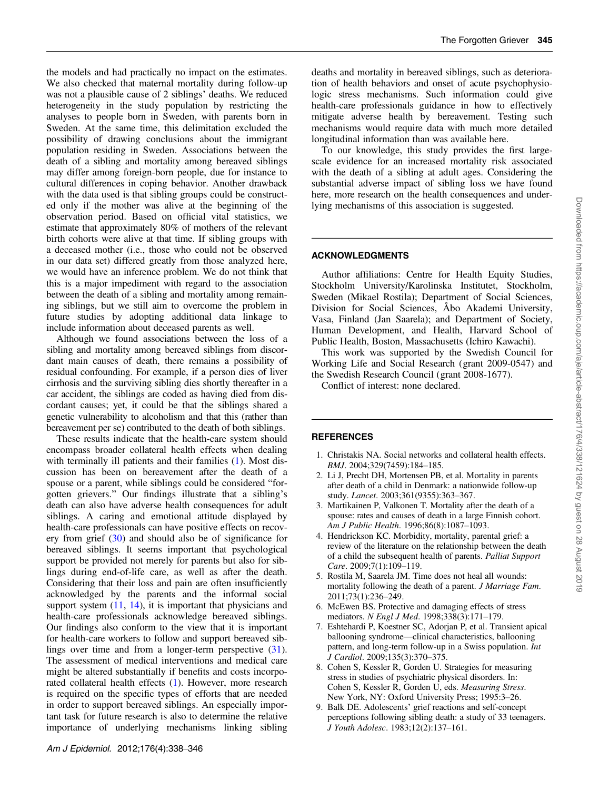<span id="page-8-0"></span>the models and had practically no impact on the estimates. We also checked that maternal mortality during follow-up was not a plausible cause of 2 siblings' deaths. We reduced heterogeneity in the study population by restricting the analyses to people born in Sweden, with parents born in Sweden. At the same time, this delimitation excluded the possibility of drawing conclusions about the immigrant population residing in Sweden. Associations between the death of a sibling and mortality among bereaved siblings may differ among foreign-born people, due for instance to cultural differences in coping behavior. Another drawback with the data used is that sibling groups could be constructed only if the mother was alive at the beginning of the observation period. Based on official vital statistics, we estimate that approximately 80% of mothers of the relevant birth cohorts were alive at that time. If sibling groups with a deceased mother (i.e., those who could not be observed in our data set) differed greatly from those analyzed here, we would have an inference problem. We do not think that this is a major impediment with regard to the association between the death of a sibling and mortality among remaining siblings, but we still aim to overcome the problem in future studies by adopting additional data linkage to include information about deceased parents as well.

Although we found associations between the loss of a sibling and mortality among bereaved siblings from discordant main causes of death, there remains a possibility of residual confounding. For example, if a person dies of liver cirrhosis and the surviving sibling dies shortly thereafter in a car accident, the siblings are coded as having died from discordant causes; yet, it could be that the siblings shared a genetic vulnerability to alcoholism and that this (rather than bereavement per se) contributed to the death of both siblings.

These results indicate that the health-care system should encompass broader collateral health effects when dealing with terminally ill patients and their families (1). Most discussion has been on bereavement after the death of a spouse or a parent, while siblings could be considered "forgotten grievers." Our findings illustrate that a sibling's death can also have adverse health consequences for adult siblings. A caring and emotional attitude displayed by health-care professionals can have positive effects on recovery from grief  $(30)$  $(30)$  and should also be of significance for bereaved siblings. It seems important that psychological support be provided not merely for parents but also for siblings during end-of-life care, as well as after the death. Considering that their loss and pain are often insufficiently acknowledged by the parents and the informal social support system  $(11, 14)$  $(11, 14)$  $(11, 14)$  $(11, 14)$  $(11, 14)$ , it is important that physicians and health-care professionals acknowledge bereaved siblings. Our findings also conform to the view that it is important for health-care workers to follow and support bereaved siblings over time and from a longer-term perspective [\(31](#page-9-0)). The assessment of medical interventions and medical care might be altered substantially if benefits and costs incorporated collateral health effects (1). However, more research is required on the specific types of efforts that are needed in order to support bereaved siblings. An especially important task for future research is also to determine the relative importance of underlying mechanisms linking sibling

deaths and mortality in bereaved siblings, such as deterioration of health behaviors and onset of acute psychophysiologic stress mechanisms. Such information could give health-care professionals guidance in how to effectively mitigate adverse health by bereavement. Testing such mechanisms would require data with much more detailed longitudinal information than was available here.

To our knowledge, this study provides the first largescale evidence for an increased mortality risk associated with the death of a sibling at adult ages. Considering the substantial adverse impact of sibling loss we have found here, more research on the health consequences and underlying mechanisms of this association is suggested.

### ACKNOWLEDGMENTS

Author affiliations: Centre for Health Equity Studies, Stockholm University/Karolinska Institutet, Stockholm, Sweden (Mikael Rostila); Department of Social Sciences, Division for Social Sciences, Åbo Akademi University, Vasa, Finland (Jan Saarela); and Department of Society, Human Development, and Health, Harvard School of Public Health, Boston, Massachusetts (Ichiro Kawachi).

This work was supported by the Swedish Council for Working Life and Social Research (grant 2009-0547) and the Swedish Research Council (grant 2008-1677).

Conflict of interest: none declared.

#### **REFERENCES**

- 1. Christakis NA. Social networks and collateral health effects. BMJ. 2004;329(7459):184–185.
- 2. Li J, Precht DH, Mortensen PB, et al. Mortality in parents after death of a child in Denmark: a nationwide follow-up study. Lancet. 2003;361(9355):363–367.
- 3. Martikainen P, Valkonen T. Mortality after the death of a spouse: rates and causes of death in a large Finnish cohort. Am J Public Health. 1996;86(8):1087–1093.
- 4. Hendrickson KC. Morbidity, mortality, parental grief: a review of the literature on the relationship between the death of a child the subsequent health of parents. Palliat Support Care. 2009;7(1):109–119.
- 5. Rostila M, Saarela JM. Time does not heal all wounds: mortality following the death of a parent. J Marriage Fam. 2011;73(1):236–249.
- 6. McEwen BS. Protective and damaging effects of stress mediators. N Engl J Med. 1998;338(3):171–179.
- 7. Eshtehardi P, Koestner SC, Adorjan P, et al. Transient apical ballooning syndrome—clinical characteristics, ballooning pattern, and long-term follow-up in a Swiss population. Int J Cardiol. 2009;135(3):370–375.
- 8. Cohen S, Kessler R, Gorden U. Strategies for measuring stress in studies of psychiatric physical disorders. In: Cohen S, Kessler R, Gorden U, eds. Measuring Stress. New York, NY: Oxford University Press; 1995:3–26.
- 9. Balk DE. Adolescents' grief reactions and self-concept perceptions following sibling death: a study of 33 teenagers. J Youth Adolesc. 1983;12(2):137–161.